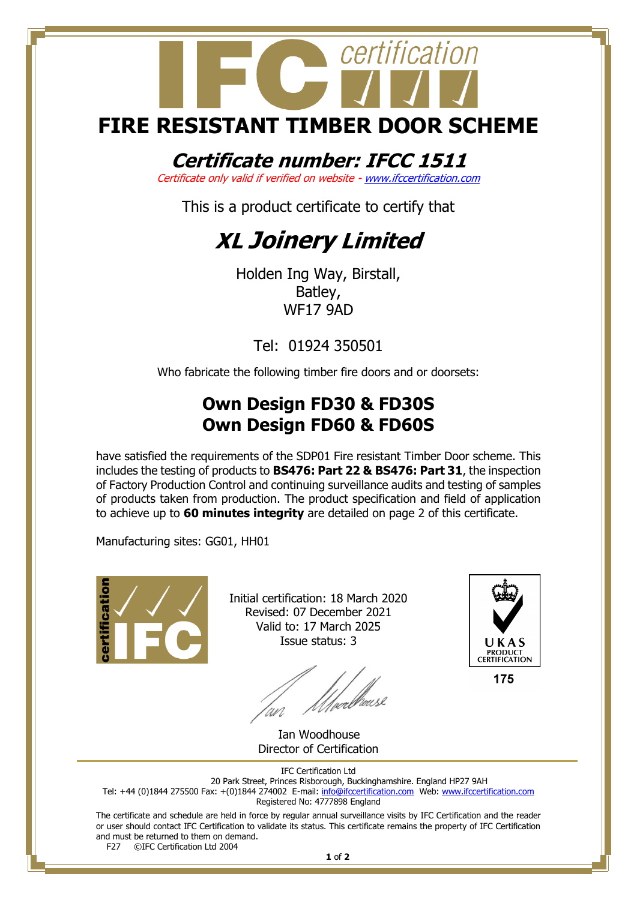# certification **FIRE RESISTANT TIMBER DOOR SCHEME**

## **Certificate number: IFCC 1511**

Certificate only valid if verified on website - [www.ifccertification.com](http://www.ifccertification.com/)

This is a product certificate to certify that

## **XL Joinery Limited**

Holden Ing Way, Birstall, Batley, WF17 9AD

Tel: 01924 350501

Who fabricate the following timber fire doors and or doorsets:

### **Own Design FD30 & FD30S Own Design FD60 & FD60S**

have satisfied the requirements of the SDP01 Fire resistant Timber Door scheme. This includes the testing of products to **BS476: Part 22 & BS476: Part 31**, the inspection of Factory Production Control and continuing surveillance audits and testing of samples of products taken from production. The product specification and field of application to achieve up to **60 minutes integrity** are detailed on page 2 of this certificate.

Manufacturing sites: GG01, HH01



Initial certification: 18 March 2020 Revised: 07 December 2021 Valid to: 17 March 2025 Issue status: 3

*Ulve*dheuse



 Ian Woodhouse Director of Certification

IFC Certification Ltd

20 Park Street, Princes Risborough, Buckinghamshire. England HP27 9AH Tel: +44 (0)1844 275500 Fax: +(0)1844 274002 E-mail[: info@ifccertification.com](mailto:info@ifccertification.com) Web: [www.ifccertification.com](http://www.ifccertification.com/)

Registered No: 4777898 England

The certificate and schedule are held in force by regular annual surveillance visits by IFC Certification and the reader or user should contact IFC Certification to validate its status. This certificate remains the property of IFC Certification and must be returned to them on demand.<br>F27  $\bigcirc$  C<sub>Prefi</sub>gnation Ltd 2004

©IFC Certification Ltd 2004